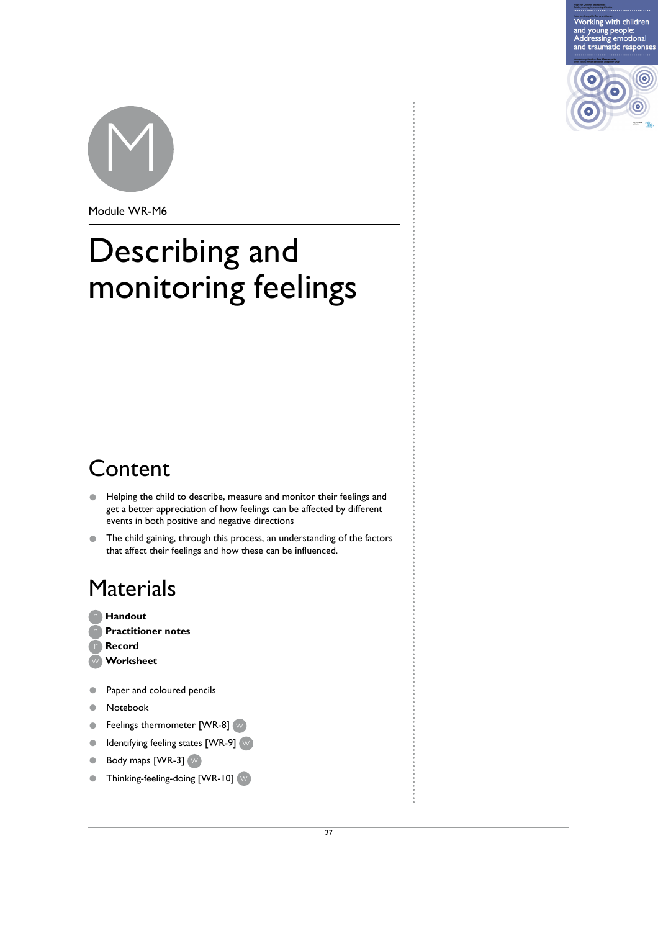Working with children and young people:<br>Addressing emotional<br>and traumatic responses





Module WR-M6

# Describing and monitoring feelings

### Content

- Helping the child to describe, measure and monitor their feelings and get a better appreciation of how feelings can be affected by different events in both positive and negative directions scribe, measure and monitor their feelings and<br>an of how feelings can be affected by different<br>and negative directions<br>ugh this process, an understanding of the factors<br>and how these can be influenced.
- The child gaining, through this process, an understanding of the factors that affect their feelings and how these can be influenced.

## **Materials**

- **Handout** h **Practitioner notes**  n
- **Record**
- **Worksheet**
- Paper and coloured pencils
- Notebook
- Feelings thermometer [WR-8] (w)
- Identifying feeling states [WR-9]  $\mathbb{W}$
- Body maps [WR-3] w
- Thinking-feeling-doing [WR-10]  $(w)$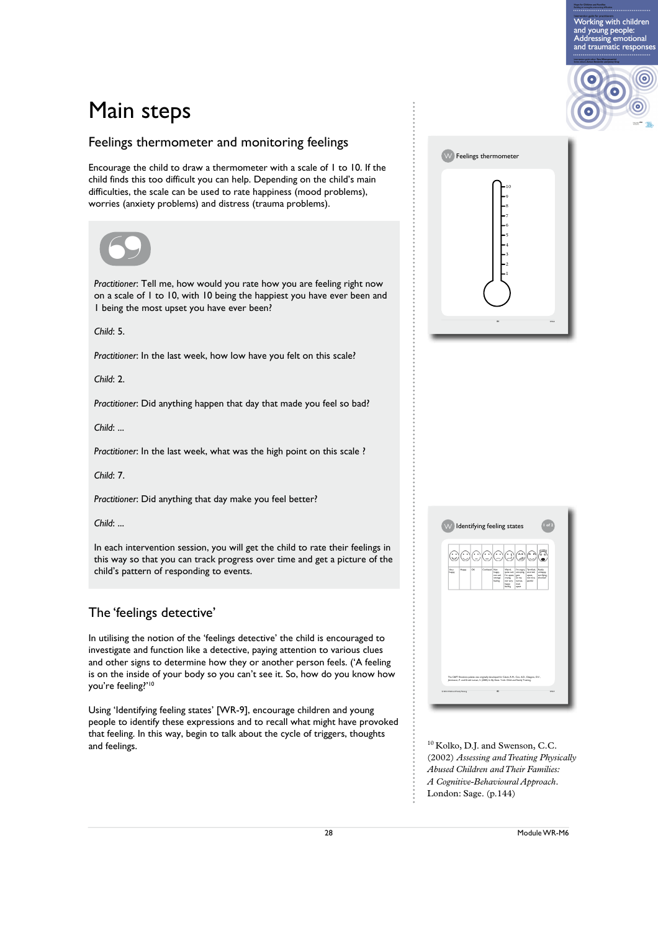### Main steps

#### Feelings thermometer and monitoring feelings

Encourage the child to draw a thermometer with a scale of 1 to 10. If the child finds this too difficult you can help. Depending on the child's main difficulties, the scale can be used to rate happiness (mood problems), worries (anxiety problems) and distress (trauma problems).



*Practitioner*: Tell me, how would you rate how you are feeling right now Practitioner: Tell me, how would you rate how you are feeling right now<br>on a scale of 1 to 10, with 10 being the happiest you have ever been and 1 being the most upset you have ever been?

*Child*: 5.

*Practitioner*: In the last week, how low have you felt on this scale?

*Child*: 2.

*Practitioner*: Did anything happen that day that made you feel so bad?

*Child*: ...

*Practitioner*: In the last week, what was the high point on this scale ?

*Child*: 7.

*Practitioner*: Did anything that day make you feel better?

*Child*: ...

In each intervention session, you will get the child to rate their feelings in this way so that you can track progress over time and get a picture of the child's pattern of responding to events. Example that day that made you felt on this scale?<br>
Represent that day that made you feel so bad?<br>
Example that day that was the high point on this scale?<br>
And day make you feel better?<br>
And day make you feel better?<br>
Dud

#### The 'feelings detective'

In utilising the notion of the 'feelings detective' the child is encouraged to investigate and function like a detective, paying attention to various clues and other signs to determine how they or another person feels. ('A feeling is on the inside of your body so you can't see it. So, how do you know how you're feeling?'10

Using 'Identifying feeling states' [WR-9], encourage children and young people to identify these expressions and to recall what might have provoked that feeling. In this way, begin to talk about the cycle of triggers, thoughts and feelings.  $10$  Kolko, D.J. and Swenson, C.C.

| W Feelings thermometer<br>.10 |     |
|-------------------------------|-----|
|                               |     |
| 84                            | wks |

Working with children and young people:<br>Addressing emotional<br>and traumatic responses

 $\odot$ 

| ن)                                                                                                                                                                                      |       | 300 |              | $\odot$                                         | $(\cdot_!)$                                                                  | λÁ                                                                  |                                                          | VI EVI                                       |  |
|-----------------------------------------------------------------------------------------------------------------------------------------------------------------------------------------|-------|-----|--------------|-------------------------------------------------|------------------------------------------------------------------------------|---------------------------------------------------------------------|----------------------------------------------------------|----------------------------------------------|--|
| Very<br>happy                                                                                                                                                                           | Happy | оĸ. | Confused Not | happy.<br>not sad.<br>strange<br><b>Souting</b> | Weird.<br>quite rad,<br>I'm upset,<br>crying<br>not very<br>happy<br>feeling | I'm angry.<br>annoying.<br>gets<br>on my<br>nerves.<br>mad<br>upset | Terrified.<br>worried.<br>upset.<br>not nice.<br>painful | Reality<br>unhappy.<br>terribing.<br>shocked |  |
|                                                                                                                                                                                         |       |     |              |                                                 |                                                                              |                                                                     |                                                          |                                              |  |
|                                                                                                                                                                                         |       |     |              |                                                 |                                                                              |                                                                     |                                                          |                                              |  |
|                                                                                                                                                                                         |       |     |              |                                                 |                                                                              |                                                                     |                                                          |                                              |  |
|                                                                                                                                                                                         |       |     |              |                                                 |                                                                              |                                                                     |                                                          |                                              |  |
|                                                                                                                                                                                         |       |     |              |                                                 |                                                                              |                                                                     |                                                          |                                              |  |
|                                                                                                                                                                                         |       |     |              |                                                 |                                                                              |                                                                     |                                                          |                                              |  |
| The C&FT Emotions palette was originally developed for Calam, R.M., Cox, A.D., Glasgow, D.V.,<br>Immiegos, P. and Groth Larsen, S. (2005) In My Shoes, York: Child and Family Training. |       |     |              |                                                 |                                                                              |                                                                     |                                                          |                                              |  |

(2002) *Assessing and Treating Physically Abused Children and Their Families: A Cognitive-Behavioural Approach*. London: Sage. (p.144)